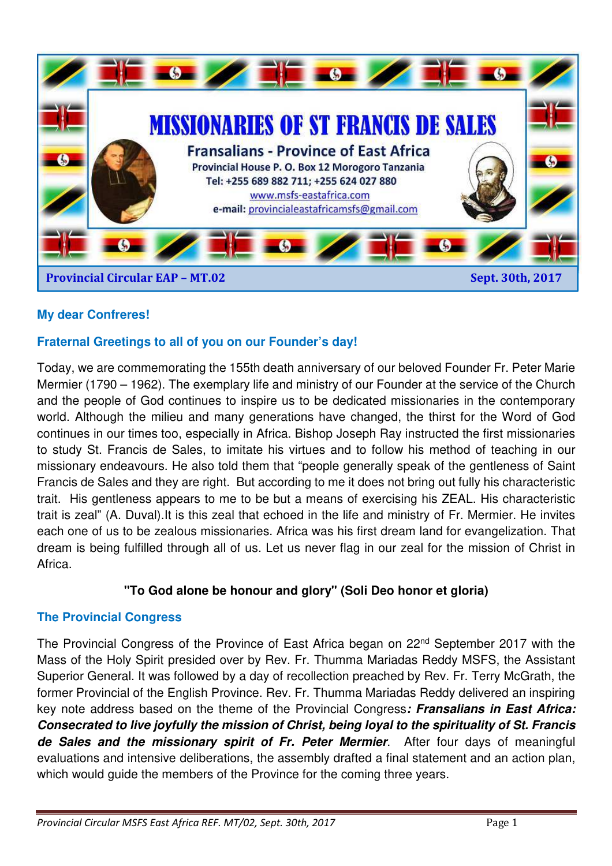

# **My dear Confreres!**

# **Fraternal Greetings to all of you on our Founder's day!**

Today, we are commemorating the 155th death anniversary of our beloved Founder Fr. Peter Marie Mermier (1790 – 1962). The exemplary life and ministry of our Founder at the service of the Church and the people of God continues to inspire us to be dedicated missionaries in the contemporary world. Although the milieu and many generations have changed, the thirst for the Word of God continues in our times too, especially in Africa. Bishop Joseph Ray instructed the first missionaries to study St. Francis de Sales, to imitate his virtues and to follow his method of teaching in our missionary endeavours. He also told them that "people generally speak of the gentleness of Saint Francis de Sales and they are right. But according to me it does not bring out fully his characteristic trait. His gentleness appears to me to be but a means of exercising his ZEAL. His characteristic trait is zeal" (A. Duval).It is this zeal that echoed in the life and ministry of Fr. Mermier. He invites each one of us to be zealous missionaries. Africa was his first dream land for evangelization. That dream is being fulfilled through all of us. Let us never flag in our zeal for the mission of Christ in Africa.

### **"To God alone be honour and glory" (Soli Deo honor et gloria)**

### **The Provincial Congress**

The Provincial Congress of the Province of East Africa began on 22<sup>nd</sup> September 2017 with the Mass of the Holy Spirit presided over by Rev. Fr. Thumma Mariadas Reddy MSFS, the Assistant Superior General. It was followed by a day of recollection preached by Rev. Fr. Terry McGrath, the former Provincial of the English Province. Rev. Fr. Thumma Mariadas Reddy delivered an inspiring key note address based on the theme of the Provincial Congress*: Fransalians in East Africa: Consecrated to live joyfully the mission of Christ, being loyal to the spirituality of St. Francis de Sales and the missionary spirit of Fr. Peter Mermier*. After four days of meaningful evaluations and intensive deliberations, the assembly drafted a final statement and an action plan, which would guide the members of the Province for the coming three years.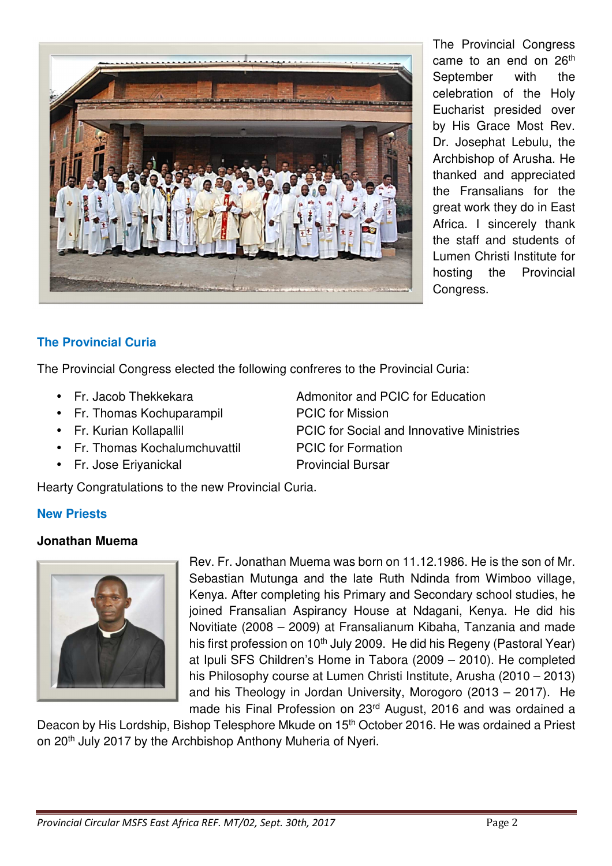

The Provincial Congress came to an end on 26<sup>th</sup> September with the celebration of the Holy Eucharist presided over by His Grace Most Rev. Dr. Josephat Lebulu, the Archbishop of Arusha. He thanked and appreciated the Fransalians for the great work they do in East Africa. I sincerely thank the staff and students of Lumen Christi Institute for hosting the Provincial Congress.

# **The Provincial Curia**

The Provincial Congress elected the following confreres to the Provincial Curia:

- Fr. Jacob Thekkekara **Admonitor and PCIC for Education**
- Fr. Thomas Kochuparampil PCIC for Mission
- 
- Fr. Thomas Kochalumchuvattil PCIC for Formation
- Fr. Jose Eriyanickal **Provincial Bursar**

Hearty Congratulations to the new Provincial Curia.

- 
- Fr. Kurian Kollapallil **FR. Australian Here** PCIC for Social and Innovative Ministries

# **New Priests**

# **Jonathan Muema**



Rev. Fr. Jonathan Muema was born on 11.12.1986. He is the son of Mr. Sebastian Mutunga and the late Ruth Ndinda from Wimboo village, Kenya. After completing his Primary and Secondary school studies, he joined Fransalian Aspirancy House at Ndagani, Kenya. He did his Novitiate (2008 – 2009) at Fransalianum Kibaha, Tanzania and made his first profession on 10<sup>th</sup> July 2009. He did his Regeny (Pastoral Year) at Ipuli SFS Children's Home in Tabora (2009 – 2010). He completed his Philosophy course at Lumen Christi Institute, Arusha (2010 – 2013) and his Theology in Jordan University, Morogoro (2013 – 2017). He made his Final Profession on 23rd August, 2016 and was ordained a

Deacon by His Lordship, Bishop Telesphore Mkude on 15<sup>th</sup> October 2016. He was ordained a Priest on 20<sup>th</sup> July 2017 by the Archbishop Anthony Muheria of Nyeri.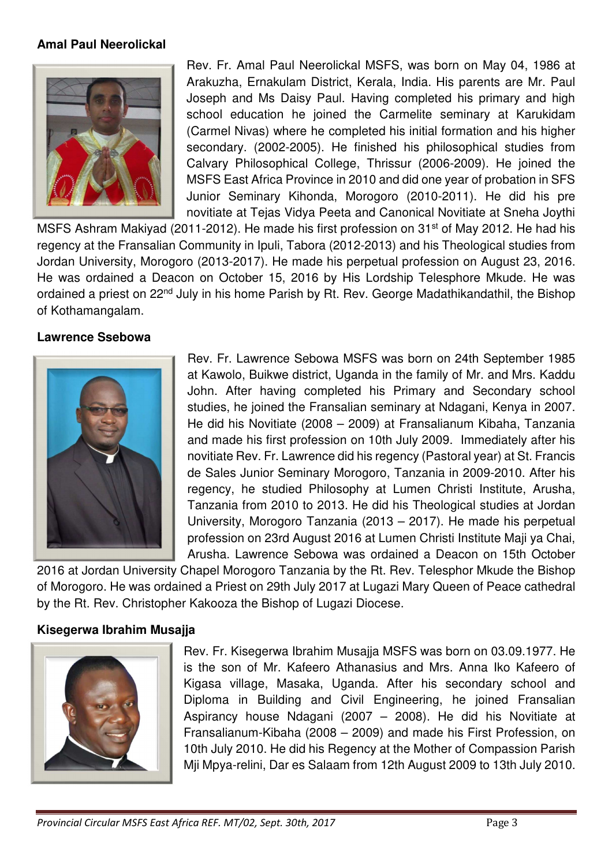#### **Amal Paul Neerolickal**



Rev. Fr. Amal Paul Neerolickal MSFS, was born on May 04, 1986 at Arakuzha, Ernakulam District, Kerala, India. His parents are Mr. Paul Joseph and Ms Daisy Paul. Having completed his primary and high school education he joined the Carmelite seminary at Karukidam (Carmel Nivas) where he completed his initial formation and his higher secondary. (2002-2005). He finished his philosophical studies from Calvary Philosophical College, Thrissur (2006-2009). He joined the MSFS East Africa Province in 2010 and did one year of probation in SFS Junior Seminary Kihonda, Morogoro (2010-2011). He did his pre novitiate at Tejas Vidya Peeta and Canonical Novitiate at Sneha Joythi

MSFS Ashram Makiyad (2011-2012). He made his first profession on 31<sup>st</sup> of May 2012. He had his regency at the Fransalian Community in Ipuli, Tabora (2012-2013) and his Theological studies from Jordan University, Morogoro (2013-2017). He made his perpetual profession on August 23, 2016. He was ordained a Deacon on October 15, 2016 by His Lordship Telesphore Mkude. He was ordained a priest on 22<sup>nd</sup> July in his home Parish by Rt. Rev. George Madathikandathil, the Bishop of Kothamangalam.

#### **Lawrence Ssebowa**



Rev. Fr. Lawrence Sebowa MSFS was born on 24th September 1985 at Kawolo, Buikwe district, Uganda in the family of Mr. and Mrs. Kaddu John. After having completed his Primary and Secondary school studies, he joined the Fransalian seminary at Ndagani, Kenya in 2007. He did his Novitiate (2008 – 2009) at Fransalianum Kibaha, Tanzania and made his first profession on 10th July 2009. Immediately after his novitiate Rev. Fr. Lawrence did his regency (Pastoral year) at St. Francis de Sales Junior Seminary Morogoro, Tanzania in 2009-2010. After his regency, he studied Philosophy at Lumen Christi Institute, Arusha, Tanzania from 2010 to 2013. He did his Theological studies at Jordan University, Morogoro Tanzania (2013 – 2017). He made his perpetual profession on 23rd August 2016 at Lumen Christi Institute Maji ya Chai, Arusha. Lawrence Sebowa was ordained a Deacon on 15th October

2016 at Jordan University Chapel Morogoro Tanzania by the Rt. Rev. Telesphor Mkude the Bishop of Morogoro. He was ordained a Priest on 29th July 2017 at Lugazi Mary Queen of Peace cathedral by the Rt. Rev. Christopher Kakooza the Bishop of Lugazi Diocese.

#### **Kisegerwa Ibrahim Musajja**



Rev. Fr. Kisegerwa Ibrahim Musajja MSFS was born on 03.09.1977. He is the son of Mr. Kafeero Athanasius and Mrs. Anna Iko Kafeero of Kigasa village, Masaka, Uganda. After his secondary school and Diploma in Building and Civil Engineering, he joined Fransalian Aspirancy house Ndagani (2007 – 2008). He did his Novitiate at Fransalianum-Kibaha (2008 – 2009) and made his First Profession, on 10th July 2010. He did his Regency at the Mother of Compassion Parish Mji Mpya-relini, Dar es Salaam from 12th August 2009 to 13th July 2010.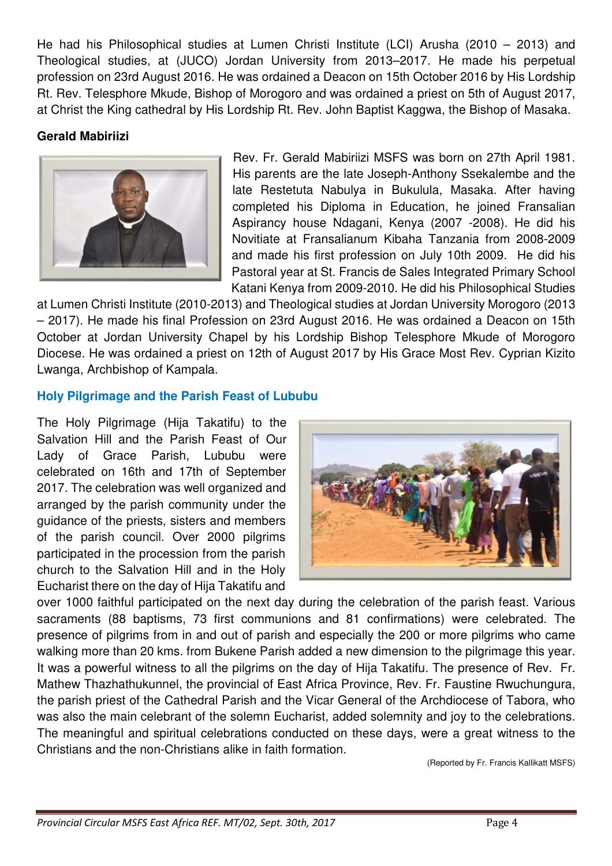He had his Philosophical studies at Lumen Christi Institute (LCI) Arusha (2010 – 2013) and Theological studies, at (JUCO) Jordan University from 2013–2017. He made his perpetual profession on 23rd August 2016. He was ordained a Deacon on 15th October 2016 by His Lordship Rt. Rev. Telesphore Mkude, Bishop of Morogoro and was ordained a priest on 5th of August 2017, at Christ the King cathedral by His Lordship Rt. Rev. John Baptist Kaggwa, the Bishop of Masaka.

# **Gerald Mabiriizi**



Rev. Fr. Gerald Mabiriizi MSFS was born on 27th April 1981. His parents are the late Joseph-Anthony Ssekalembe and the late Restetuta Nabulya in Bukulula, Masaka. After having completed his Diploma in Education, he joined Fransalian Aspirancy house Ndagani, Kenya (2007 -2008). He did his Novitiate at Fransalianum Kibaha Tanzania from 2008-2009 and made his first profession on July 10th 2009. He did his Pastoral year at St. Francis de Sales Integrated Primary School Katani Kenya from 2009-2010. He did his Philosophical Studies

at Lumen Christi Institute (2010-2013) and Theological studies at Jordan University Morogoro (2013 – 2017). He made his final Profession on 23rd August 2016. He was ordained a Deacon on 15th October at Jordan University Chapel by his Lordship Bishop Telesphore Mkude of Morogoro Diocese. He was ordained a priest on 12th of August 2017 by His Grace Most Rev. Cyprian Kizito Lwanga, Archbishop of Kampala.

### **Holy Pilgrimage and the Parish Feast of Lububu**

The Holy Pilgrimage (Hija Takatifu) to the Salvation Hill and the Parish Feast of Our Lady of Grace Parish, Lububu were celebrated on 16th and 17th of September 2017. The celebration was well organized and arranged by the parish community under the guidance of the priests, sisters and members of the parish council. Over 2000 pilgrims participated in the procession from the parish church to the Salvation Hill and in the Holy Eucharist there on the day of Hija Takatifu and



over 1000 faithful participated on the next day during the celebration of the parish feast. Various sacraments (88 baptisms, 73 first communions and 81 confirmations) were celebrated. The presence of pilgrims from in and out of parish and especially the 200 or more pilgrims who came walking more than 20 kms. from Bukene Parish added a new dimension to the pilgrimage this year. It was a powerful witness to all the pilgrims on the day of Hija Takatifu. The presence of Rev. Fr. Mathew Thazhathukunnel, the provincial of East Africa Province, Rev. Fr. Faustine Rwuchungura, the parish priest of the Cathedral Parish and the Vicar General of the Archdiocese of Tabora, who was also the main celebrant of the solemn Eucharist, added solemnity and joy to the celebrations. The meaningful and spiritual celebrations conducted on these days, were a great witness to the Christians and the non-Christians alike in faith formation.

(Reported by Fr. Francis Kallikatt MSFS)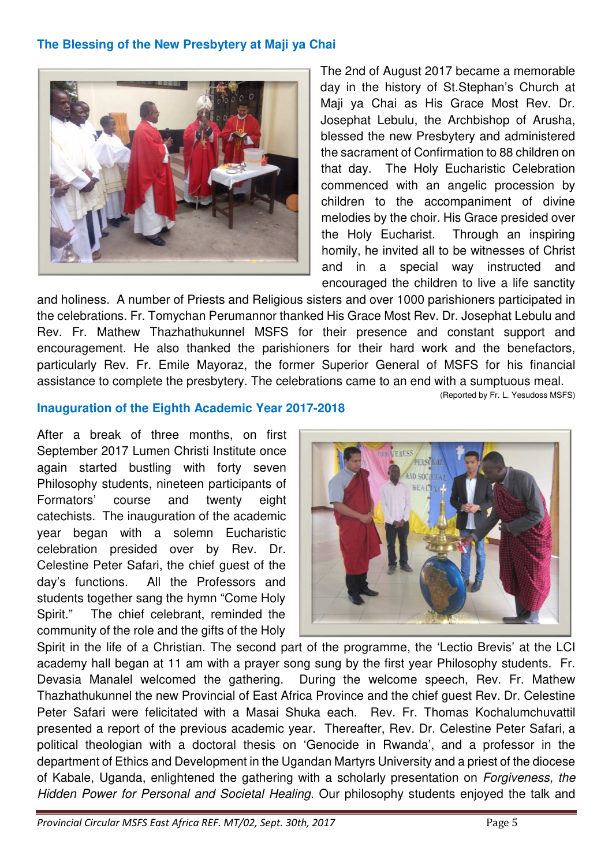### **The Blessing of the New Presbytery at Maji ya Chai**



The 2nd of August 2017 became a memorable day in the history of St.Stephan's Church at Maji ya Chai as His Grace Most Rev. Dr. Josephat Lebulu, the Archbishop of Arusha, blessed the new Presbytery and administered the sacrament of Confirmation to 88 children on that day. The Holy Eucharistic Celebration commenced with an angelic procession by children to the accompaniment of divine melodies by the choir. His Grace presided over the Holy Eucharist. Through an inspiring homily, he invited all to be witnesses of Christ and in a special way instructed and encouraged the children to live a life sanctity

and holiness. A number of Priests and Religious sisters and over 1000 parishioners participated in the celebrations. Fr. Tomychan Perumannor thanked His Grace Most Rev. Dr. Josephat Lebulu and Rev. Fr. Mathew Thazhathukunnel MSFS for their presence and constant support and encouragement. He also thanked the parishioners for their hard work and the benefactors, particularly Rev. Fr. Emile Mayoraz, the former Superior General of MSFS for his financial assistance to complete the presbytery. The celebrations came to an end with a sumptuous meal.

(Reported by Fr. L. Yesudoss MSFS)

#### **Inauguration of the Eighth Academic Year 2017-2018**

After a break of three months, on first September 2017 Lumen Christi Institute once again started bustling with forty seven Philosophy students, nineteen participants of Formators' course and twenty eight catechists. The inauguration of the academic year began with a solemn Eucharistic celebration presided over by Rev. Dr. Celestine Peter Safari, the chief guest of the day's functions. All the Professors and students together sang the hymn "Come Holy Spirit." The chief celebrant, reminded the community of the role and the gifts of the Holy



Spirit in the life of a Christian. The second part of the programme, the 'Lectio Brevis' at the LCI academy hall began at 11 am with a prayer song sung by the first year Philosophy students. Fr. Devasia Manalel welcomed the gathering. During the welcome speech, Rev. Fr. Mathew Thazhathukunnel the new Provincial of East Africa Province and the chief guest Rev. Dr. Celestine Peter Safari were felicitated with a Masai Shuka each. Rev. Fr. Thomas Kochalumchuvattil presented a report of the previous academic year. Thereafter, Rev. Dr. Celestine Peter Safari, a political theologian with a doctoral thesis on 'Genocide in Rwanda', and a professor in the department of Ethics and Development in the Ugandan Martyrs University and a priest of the diocese of Kabale, Uganda, enlightened the gathering with a scholarly presentation on Forgiveness, the Hidden Power for Personal and Societal Healing. Our philosophy students enjoyed the talk and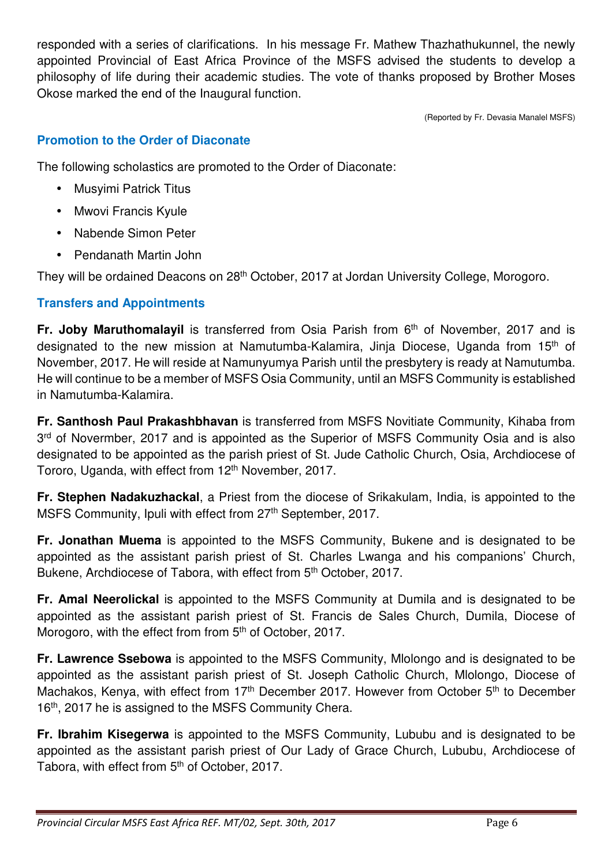responded with a series of clarifications. In his message Fr. Mathew Thazhathukunnel, the newly appointed Provincial of East Africa Province of the MSFS advised the students to develop a philosophy of life during their academic studies. The vote of thanks proposed by Brother Moses Okose marked the end of the Inaugural function.

(Reported by Fr. Devasia Manalel MSFS)

## **Promotion to the Order of Diaconate**

The following scholastics are promoted to the Order of Diaconate:

- Musyimi Patrick Titus
- Mwovi Francis Kyule
- Nabende Simon Peter
- Pendanath Martin John

They will be ordained Deacons on 28<sup>th</sup> October, 2017 at Jordan University College, Morogoro.

### **Transfers and Appointments**

**Fr. Joby Maruthomalayil** is transferred from Osia Parish from 6<sup>th</sup> of November, 2017 and is designated to the new mission at Namutumba-Kalamira, Jinja Diocese, Uganda from 15<sup>th</sup> of November, 2017. He will reside at Namunyumya Parish until the presbytery is ready at Namutumba. He will continue to be a member of MSFS Osia Community, until an MSFS Community is established in Namutumba-Kalamira.

**Fr. Santhosh Paul Prakashbhavan** is transferred from MSFS Novitiate Community, Kihaba from 3<sup>rd</sup> of Novermber, 2017 and is appointed as the Superior of MSFS Community Osia and is also designated to be appointed as the parish priest of St. Jude Catholic Church, Osia, Archdiocese of Tororo, Uganda, with effect from 12<sup>th</sup> November, 2017.

**Fr. Stephen Nadakuzhackal**, a Priest from the diocese of Srikakulam, India, is appointed to the MSFS Community, Ipuli with effect from 27<sup>th</sup> September, 2017.

**Fr. Jonathan Muema** is appointed to the MSFS Community, Bukene and is designated to be appointed as the assistant parish priest of St. Charles Lwanga and his companions' Church, Bukene, Archdiocese of Tabora, with effect from 5<sup>th</sup> October, 2017.

**Fr. Amal Neerolickal** is appointed to the MSFS Community at Dumila and is designated to be appointed as the assistant parish priest of St. Francis de Sales Church, Dumila, Diocese of Morogoro, with the effect from from 5<sup>th</sup> of October, 2017.

**Fr. Lawrence Ssebowa** is appointed to the MSFS Community, Mlolongo and is designated to be appointed as the assistant parish priest of St. Joseph Catholic Church, Mlolongo, Diocese of Machakos, Kenya, with effect from 17<sup>th</sup> December 2017. However from October 5<sup>th</sup> to December 16<sup>th</sup>, 2017 he is assigned to the MSFS Community Chera.

**Fr. Ibrahim Kisegerwa** is appointed to the MSFS Community, Lububu and is designated to be appointed as the assistant parish priest of Our Lady of Grace Church, Lububu, Archdiocese of Tabora, with effect from 5<sup>th</sup> of October, 2017.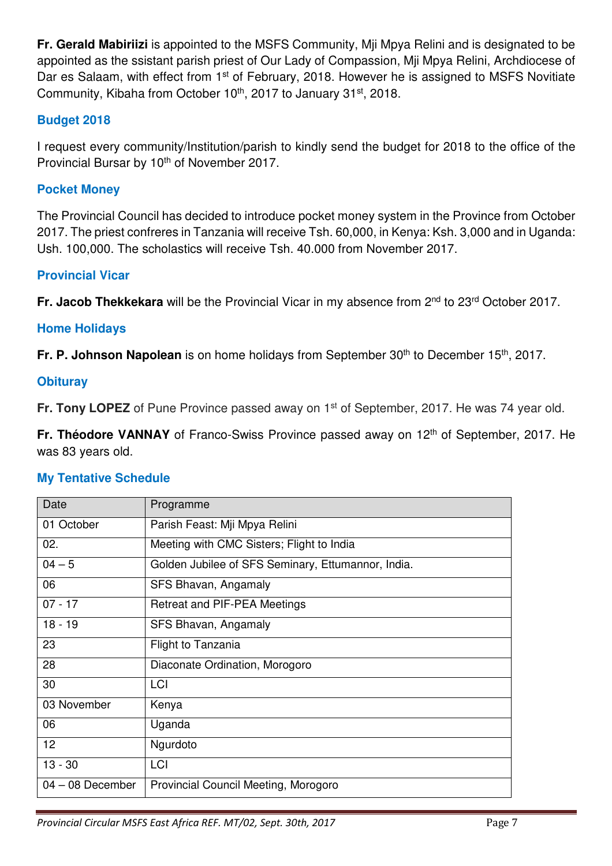**Fr. Gerald Mabiriizi** is appointed to the MSFS Community, Mji Mpya Relini and is designated to be appointed as the ssistant parish priest of Our Lady of Compassion, Mji Mpya Relini, Archdiocese of Dar es Salaam, with effect from 1<sup>st</sup> of February, 2018. However he is assigned to MSFS Novitiate Community, Kibaha from October 10<sup>th</sup>, 2017 to January 31<sup>st</sup>, 2018.

### **Budget 2018**

I request every community/Institution/parish to kindly send the budget for 2018 to the office of the Provincial Bursar by 10<sup>th</sup> of November 2017.

### **Pocket Money**

The Provincial Council has decided to introduce pocket money system in the Province from October 2017. The priest confreres in Tanzania will receive Tsh. 60,000, in Kenya: Ksh. 3,000 and in Uganda: Ush. 100,000. The scholastics will receive Tsh. 40.000 from November 2017.

### **Provincial Vicar**

**Fr. Jacob Thekkekara** will be the Provincial Vicar in my absence from 2<sup>nd</sup> to 23<sup>rd</sup> October 2017.

### **Home Holidays**

**Fr. P. Johnson Napolean** is on home holidays from September 30<sup>th</sup> to December 15<sup>th</sup>, 2017.

### **Obituray**

**Fr. Tony LOPEZ** of Pune Province passed away on 1<sup>st</sup> of September, 2017. He was 74 year old.

**Fr. Théodore VANNAY** of Franco-Swiss Province passed away on 12<sup>th</sup> of September, 2017. He was 83 years old.

### **My Tentative Schedule**

| Date               | Programme                                          |
|--------------------|----------------------------------------------------|
| 01 October         | Parish Feast: Mji Mpya Relini                      |
| 02.                | Meeting with CMC Sisters; Flight to India          |
| $04 - 5$           | Golden Jubilee of SFS Seminary, Ettumannor, India. |
| 06                 | SFS Bhavan, Angamaly                               |
| $07 - 17$          | Retreat and PIF-PEA Meetings                       |
| $18 - 19$          | SFS Bhavan, Angamaly                               |
| 23                 | <b>Flight to Tanzania</b>                          |
| 28                 | Diaconate Ordination, Morogoro                     |
| 30                 | LCI                                                |
| 03 November        | Kenya                                              |
| 06                 | Uganda                                             |
| 12                 | Ngurdoto                                           |
| $13 - 30$          | LCI                                                |
| $04 - 08$ December | Provincial Council Meeting, Morogoro               |